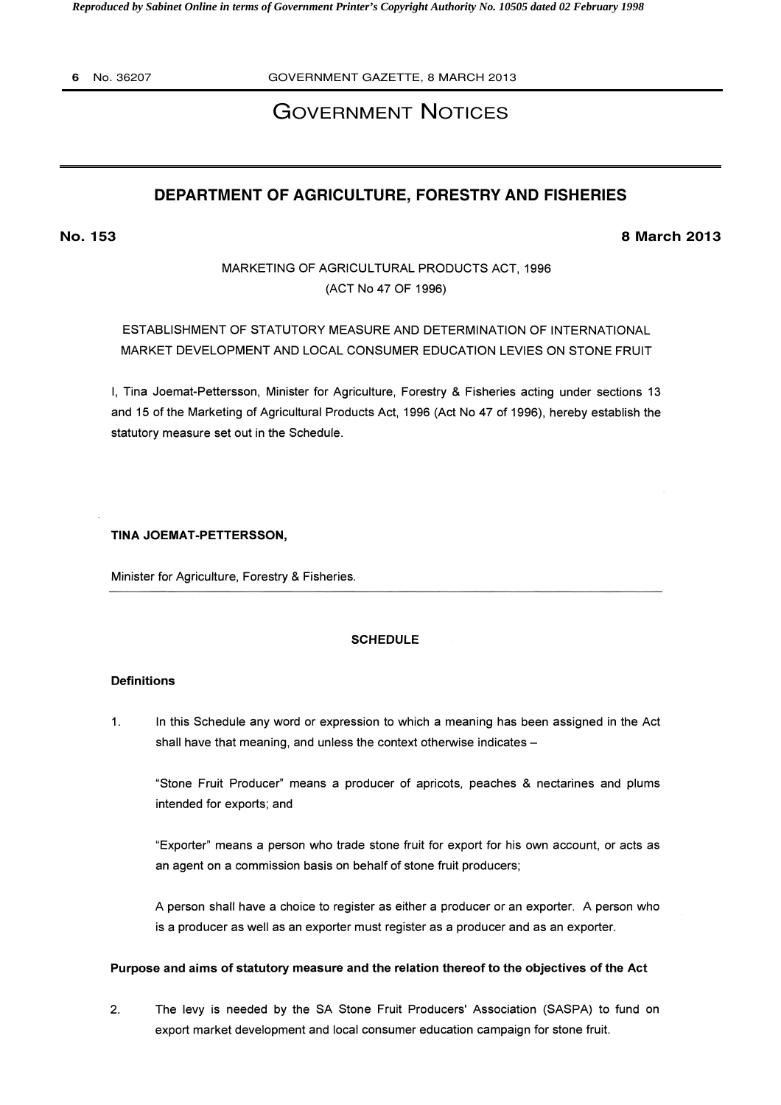*Reproduced by Sabinet Online in terms of Government Printer's Copyright Authority No. 10505 dated 02 February 1998* 

**6** No. 36207 GOVERNMENT GAZETTE, 8 MARCH 2013

# GOVERNMENT NOTICES

# **DEPARTMENT OF AGRICULTURE, FORESTRY AND FISHERIES**

**No. 153 8 March 2013**

MARKETING OF AGRICULTURAL PRODUCTS ACT, 1996 (ACT No 47 OF 1996)

ESTABLISHMENT OF STATUTORY MEASURE AND DETERMINATION OF INTERNATIONAL MARKET DEVELOPMENT AND LOCAL CONSUMER EDUCATION LEVIES ON STONE FRUIT

I, Tina Joemat-Pettersson, Minister for Agriculture, Forestry & Fisheries acting under sections 13 and 15 of the Marketing of Agricultural Products Act, 1996 (Act No 47 of 1996), hereby establish the statutory measure set out in the Schedule.

TINA JOEMAT-PETTERSSON,

Minister for Agriculture, Forestry & Fisheries.

# **SCHEDULE**

#### Definitions

 $1.$ In this Schedule any word or expression to which a meaning has been assigned in the Act shall have that meaning, and unless the context otherwise indicates -

"Stone Fruit Producer" means a producer of apricots, peaches & nectarines and plums intended for exports; and

"Exporter" means a person who trade stone fruit for export for his own account, or acts as an agent on a commission basis on behalf of stone fruit producers;

A person shall have a choice to register as either a producer or an exporter. A person who is a producer as well as an exporter must register as a producer and as an exporter.

### Purpose and aims of statutory measure and the relation thereof to the objectives of the Act

2. The levy is needed by the SA Stone Fruit Producers' Association (SASPA) to fund on export market development and local consumer education campaign for stone fruit.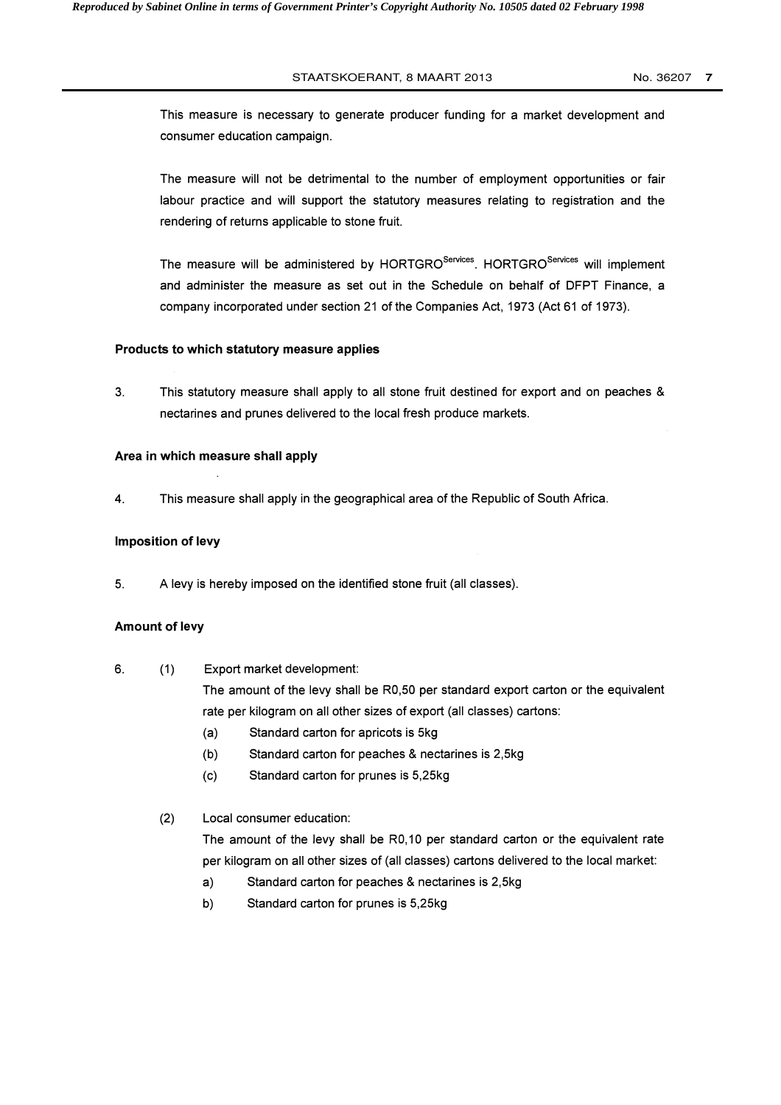### STAATSKOERANT, 8 MAART 2013 No. 36207 **7**

This measure is necessary to generate producer funding for a market development and consumer education campaign.

The measure will not be detrimental to the number of employment opportunities or fair labour practice and will support the statutory measures relating to registration and the rendering of returns applicable to stone fruit.

The measure will be administered by HORTGRO<sup>Services</sup>. HORTGRO<sup>Services</sup> will implement and administer the measure as set out in the Schedule on behalf of DFPT Finance, a company incorporated under section 21 of the Companies Act, 1973 (Act 61 of 1973).

### Products to which statutory measure applies

3. This statutory measure shall apply to all stone fruit destined for export and on peaches & nectarines and prunes delivered to the local fresh produce markets.

### Area in which measure shall apply

4. This measure shall apply in the geographical area of the Republic of South Africa.

### Imposition of levy

5. A levy is hereby imposed on the identified stone fruit (all classes).

### Amount of levy

6. (1) Export market development:

The amount of the levy shall be R0,50 per standard export carton or the equivalent rate per kilogram on all other sizes of export (all classes) cartons:

- (a) Standard carton for apricots is 5kg
- (b) Standard carton for peaches & nectarines is 2,5kg
- (c) Standard carton for prunes is 5,25kg

# (2) Local consumer education:

The amount of the levy shall be R0,10 per standard carton or the equivalent rate per kilogram on all other sizes of (all classes) cartons delivered to the local market:

- a) Standard carton for peaches & nectarines is 2,5kg
- b) Standard carton for prunes is 5,25kg